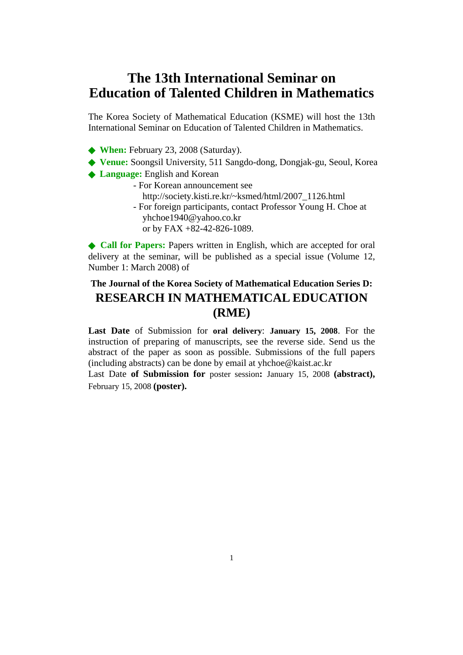# **The 13th International Seminar on Education of Talented Children in Mathematics**

The Korea Society of Mathematical Education (KSME) will host the 13th International Seminar on Education of Talented Children in Mathematics.

**When:** February 23, 2008 (Saturday).

◆ **Venue:** Soongsil University, 511 Sangdo-dong, Dongjak-gu, Seoul, Korea **Language:** English and Korean

- For Korean announcement see
	- [http://society.kisti.re.kr/~ksmed/html/2007\\_1126.html](http://society.kisti.re.kr/~ksmed/html/2007_1126.html)
- For foreign participants, contact Professor Young H. Choe at yhchoe1940@yahoo.co.kr

or by FAX +82-42-826-1089.

**Call for Papers:** Papers written in English, which are accepted for oral delivery at the seminar, will be published as a special issue (Volume 12, Number 1: March 2008) of

## **The Journal of the Korea Society of Mathematical Education Series D: RESEARCH IN MATHEMATICAL EDUCATION (RME)**

**Last Date** of Submission for **oral delivery**: **January 15, 2008**. For the instruction of preparing of manuscripts, see the reverse side. Send us the abstract of the paper as soon as possible. Submissions of the full papers (including abstracts) can be done by email at yhchoe@kaist.ac.kr

Last Date **of Submission for** poster session**:** January 15, 2008 **(abstract),** February 15, 2008 **(poster).**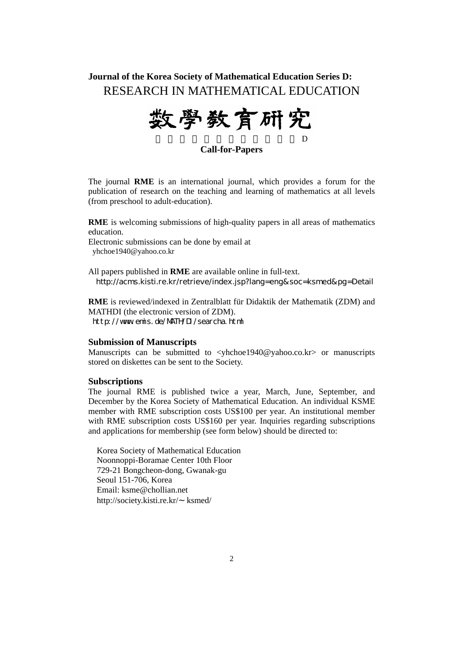**Journal of the Korea Society of Mathematical Education Series D:**  RESEARCH IN MATHEMATICAL EDUCATION

数學数官研究 D

**Call-for-Papers** 

The journal **RME** is an international journal, which provides a forum for the publication of research on the teaching and learning of mathematics at all levels (from preschool to adult-education).

**RME** is welcoming submissions of high-quality papers in all areas of mathematics education.

Electronic submissions can be done by email at [yhchoe1940@yahoo.co.kr](mailto:yhchoe1940@yahoo.co.kr)

All papers published in **RME** are available online in full-text. <http://acms.kisti.re.kr/retrieve/index.jsp?lang=eng&soc=ksmed&pg=Detail>

**RME** is reviewed/indexed in Zentralblatt für Didaktik der Mathematik (ZDM) and MATHDI (the electronic version of ZDM). <http://www.emis.de/MATH/DI/searcha.html>

#### **Submission of Manuscripts**

Manuscripts can be submitted to <yhchoe1940@yahoo.co.kr> or manuscripts stored on diskettes can be sent to the Society.

#### **Subscriptions**

The journal RME is published twice a year, March, June, September, and December by the Korea Society of Mathematical Education. An individual KSME member with RME subscription costs US\$100 per year. An institutional member with RME subscription costs US\$160 per year. Inquiries regarding subscriptions and applications for membership (see form below) should be directed to:

Korea Society of Mathematical Education Noonnoppi-Boramae Center 10th Floor 729-21 Bongcheon-dong, Gwanak-gu Seoul 151-706, Korea Email: [ksme@chollian.net](mailto:ksme@chollian.net) http://society.kisti.re.kr/ ksmed/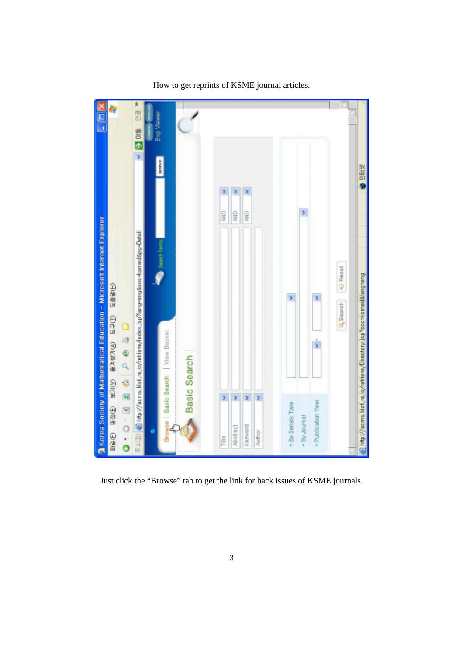

How to get reprints of KSME journal articles.

Just click the "Browse" tab to get the link for back issues of KSME journals.